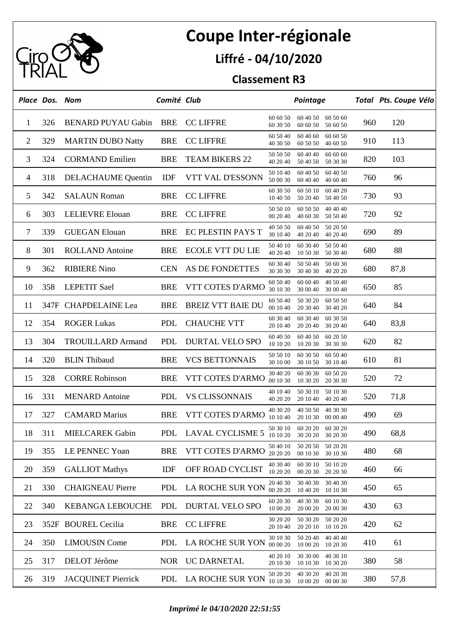

## **Coupe Inter-régionale**

## **Liffré - 04/10/2020**

## **Classement R3**

|    | Place Dos. Nom |                           | Comité Club |                               |                      | Pointage                                     |     | Total Pts. Coupe Vélo |
|----|----------------|---------------------------|-------------|-------------------------------|----------------------|----------------------------------------------|-----|-----------------------|
| 1  | 326            | <b>BENARD PUYAU Gabin</b> | <b>BRE</b>  | <b>CC LIFFRE</b>              | 60 60 50<br>60 30 50 | 60 40 50<br>60 50 60<br>60 60 50<br>50 60 50 | 960 | 120                   |
| 2  | 329            | <b>MARTIN DUBO Natty</b>  | <b>BRE</b>  | <b>CC LIFFRE</b>              | 60 50 40<br>40 30 50 | 60 40 60<br>60 60 50<br>60 50 50<br>40 60 50 | 910 | 113                   |
| 3  | 324            | <b>CORMAND Emilien</b>    | <b>BRE</b>  | <b>TEAM BIKERS 22</b>         | 50 50 50<br>40 20 40 | 60 40 40<br>60 60 60<br>50 40 50<br>50 30 30 | 820 | 103                   |
| 4  | 318            | DELACHAUME Quentin        | IDF         | VTT VAL D'ESSONN              | 50 10 40<br>50 00 30 | 60 40 50<br>60 40 50<br>60 40 40<br>40 60 40 | 760 | 96                    |
| 5  | 342            | <b>SALAUN Roman</b>       | <b>BRE</b>  | <b>CC LIFFRE</b>              | 60 30 50<br>10 40 50 | 60 50 10<br>60 40 20<br>50 20 40<br>50 40 50 | 730 | 93                    |
| 6  | 303            | <b>LELIEVRE</b> Elouan    | <b>BRE</b>  | <b>CC LIFFRE</b>              | 50 50 10<br>00 20 40 | 60 50 50<br>40 40 40<br>40 60 30<br>50 50 40 | 720 | 92                    |
| 7  | 339            | <b>GUEGAN Elouan</b>      | <b>BRE</b>  | EC PLESTIN PAYS T             | 40 50 50<br>30 10 40 | 60 40 50<br>50 20 50<br>40 20 40<br>40 20 40 | 690 | 89                    |
| 8  | 301            | <b>ROLLAND</b> Antoine    | <b>BRE</b>  | <b>ECOLE VTT DU LIE</b>       | 50 40 10<br>40 20 40 | 60 30 40<br>50 50 40<br>10 50 30<br>50 30 40 | 680 | 88                    |
| 9  | 362            | <b>RIBIERE Nino</b>       | <b>CEN</b>  | AS DE FONDETTES               | 60 30 40<br>30 30 30 | 50 50 40<br>50 60 30<br>30 40 30<br>40 20 20 | 680 | 87,8                  |
| 10 | 358            | <b>LEPETIT Sael</b>       | <b>BRE</b>  | VTT COTES D'ARMO              | 60 50 40<br>30 10 30 | 60 60 40<br>40 50 40<br>30 00 40<br>30 00 40 | 650 | 85                    |
| 11 |                | 347F CHAPDELAINE Lea      | <b>BRE</b>  | <b>BREIZ VTT BAIE DU</b>      | 60 50 40<br>00 10 40 | 50 30 20<br>60 50 50<br>20 30 40<br>30 40 20 | 640 | 84                    |
| 12 | 354            | <b>ROGER Lukas</b>        | PDL         | <b>CHAUCHE VTT</b>            | 60 30 40<br>20 10 40 | 60 30 40<br>60 30 50<br>20 20 40<br>30 20 40 | 640 | 83,8                  |
| 13 | 304            | <b>TROUILLARD Armand</b>  | PDL         | <b>DURTAL VELO SPO</b>        | 60 40 50<br>10 10 20 | 60 40 50<br>60 20 50<br>10 20 30<br>30 30 30 | 620 | 82                    |
| 14 | 320            | <b>BLIN</b> Thibaud       | <b>BRE</b>  | <b>VCS BETTONNAIS</b>         | 50 50 10<br>30 10 00 | 60 30 50<br>60 50 40<br>30 10 50<br>30 10 40 | 610 | 81                    |
| 15 | 328            | <b>CORRE Robinson</b>     | <b>BRE</b>  | VTT COTES D'ARMO              | 30 40 20<br>00 10 30 | 60 30 30<br>60 50 20<br>10 30 20<br>20 30 30 | 520 | 72                    |
| 16 | 331            | <b>MENARD</b> Antoine     | <b>PDL</b>  | <b>VS CLISSONNAIS</b>         | 40 10 40<br>40 20 20 | 50 30 10<br>50 10 30<br>20 10 40<br>40 20 40 | 520 | 71,8                  |
| 17 | 327            | <b>CAMARD Marius</b>      | <b>BRE</b>  | VTT COTES D'ARMO              | 40 30 20<br>10 10 40 | 40 50 50<br>40 30 30<br>20 10 30<br>00 00 40 | 490 | 69                    |
| 18 |                | 311 MIELCAREK Gabin       |             | PDL LAVAL CYCLISME 5 10 10 20 | 50 30 10             | 60 20 20<br>60 30 20<br>30 20 20<br>30 20 30 | 490 | 68,8                  |
| 19 | 355            | LE PENNEC Yoan            | <b>BRE</b>  | VTT COTES D'ARMO              | 50 40 10<br>20 20 20 | 50 20 50<br>50 20 20<br>00 10 30<br>30 10 30 | 480 | 68                    |
| 20 | 359            | <b>GALLIOT Mathys</b>     | IDF         | OFF ROAD CYCLIST              | 40 30 40<br>10 20 20 | 60 30 10<br>50 10 20<br>00 20 30<br>20 20 30 | 460 | 66                    |
| 21 | 330            | <b>CHAIGNEAU Pierre</b>   | PDL         | <b>LA ROCHE SUR YON</b>       | 20 40 30<br>00 20 20 | 30 40 30<br>30 40 30<br>10 40 20<br>10 10 30 | 450 | 65                    |
| 22 | 340            | <b>KEBANGA LEBOUCHE</b>   | PDL         | <b>DURTAL VELO SPO</b>        | 60 20 30<br>10 00 20 | 40 30 30<br>60 10 30<br>20 00 20<br>20 00 30 | 430 | 63                    |
| 23 |                | 352F BOUREL Cecilia       | BRE         | <b>CC LIFFRE</b>              | 30 20 20<br>20 10 40 | 50 30 20<br>50 20 20<br>20 20 10<br>10 10 20 | 420 | 62                    |
| 24 | 350            | <b>LIMOUSIN Come</b>      | PDL         | <b>LA ROCHE SUR YON</b>       | 30 10 30<br>00 00 20 | 50 20 40<br>40 40 40<br>10 00 20<br>10 20 30 | 410 | 61                    |
| 25 | 317            | DELOT Jérôme              |             | NOR UC DARNETAL               | 40 20 10<br>20 10 30 | 30 30 00<br>40 30 10<br>10 10 30<br>10 30 20 | 380 | 58                    |
| 26 | 319            | <b>JACQUINET Pierrick</b> |             | PDL LA ROCHE SUR YON          | 50 20 20<br>10 10 30 | 40 30 20<br>40 20 30<br>10 00 20<br>00 00 30 | 380 | 57,8                  |

*Imprimé le 04/10/2020 22:51:55*